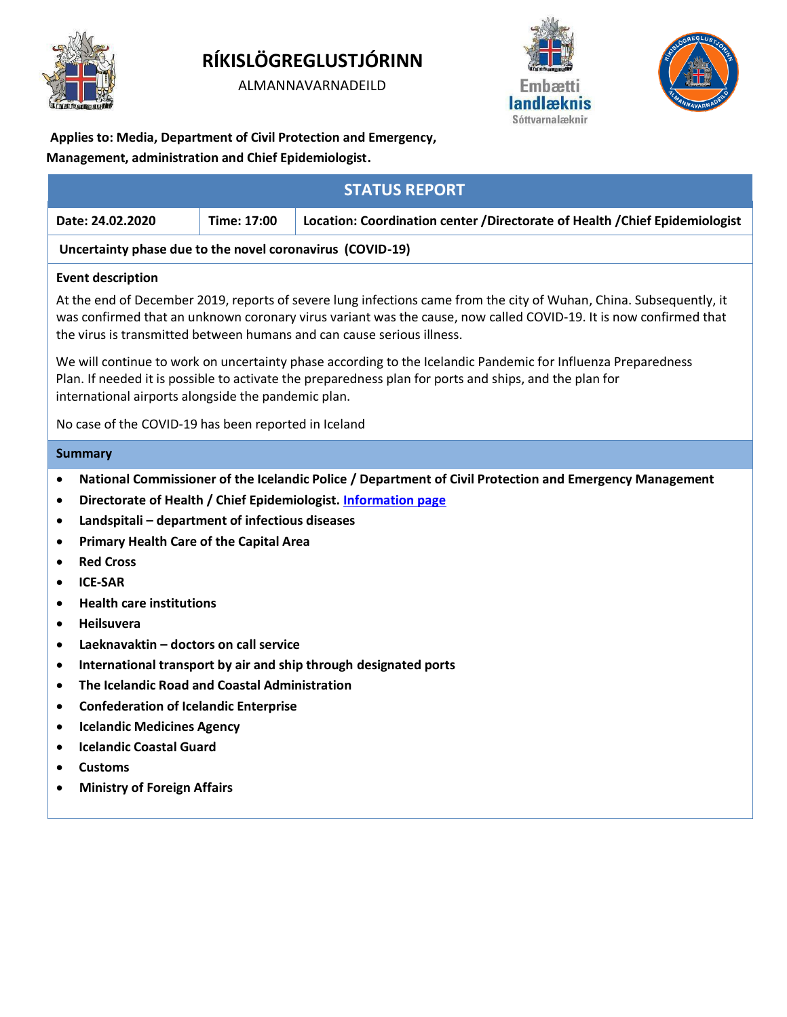

# **RÍKISLÖGREGLUSTJÓRINN**

ALMANNAVARNADEILD





**Applies to: Media, Department of Civil Protection and Emergency,** 

**Management, administration and Chief Epidemiologist.**

| <b>STATUS REPORT</b>                                                                                                                                                                                                                                                                                                 |                                                                                                                                                                                                                                                                                                                    |
|----------------------------------------------------------------------------------------------------------------------------------------------------------------------------------------------------------------------------------------------------------------------------------------------------------------------|--------------------------------------------------------------------------------------------------------------------------------------------------------------------------------------------------------------------------------------------------------------------------------------------------------------------|
| Time: 17:00                                                                                                                                                                                                                                                                                                          | Location: Coordination center / Directorate of Health / Chief Epidemiologist                                                                                                                                                                                                                                       |
| Uncertainty phase due to the novel coronavirus (COVID-19)                                                                                                                                                                                                                                                            |                                                                                                                                                                                                                                                                                                                    |
|                                                                                                                                                                                                                                                                                                                      |                                                                                                                                                                                                                                                                                                                    |
|                                                                                                                                                                                                                                                                                                                      | At the end of December 2019, reports of severe lung infections came from the city of Wuhan, China. Subsequently, it<br>was confirmed that an unknown coronary virus variant was the cause, now called COVID-19. It is now confirmed that<br>the virus is transmitted between humans and can cause serious illness. |
| international airports alongside the pandemic plan.                                                                                                                                                                                                                                                                  | We will continue to work on uncertainty phase according to the Icelandic Pandemic for Influenza Preparedness<br>Plan. If needed it is possible to activate the preparedness plan for ports and ships, and the plan for                                                                                             |
| No case of the COVID-19 has been reported in Iceland                                                                                                                                                                                                                                                                 |                                                                                                                                                                                                                                                                                                                    |
|                                                                                                                                                                                                                                                                                                                      |                                                                                                                                                                                                                                                                                                                    |
| Landspitali - department of infectious diseases<br><b>Primary Health Care of the Capital Area</b><br><b>Health care institutions</b><br>Laeknavaktin - doctors on call service<br>The Icelandic Road and Coastal Administration<br><b>Confederation of Icelandic Enterprise</b><br><b>Icelandic Medicines Agency</b> | Directorate of Health / Chief Epidemiologist. Information page<br>International transport by air and ship through designated ports                                                                                                                                                                                 |
|                                                                                                                                                                                                                                                                                                                      | National Commissioner of the Icelandic Police / Department of Civil Protection and Emergency Management                                                                                                                                                                                                            |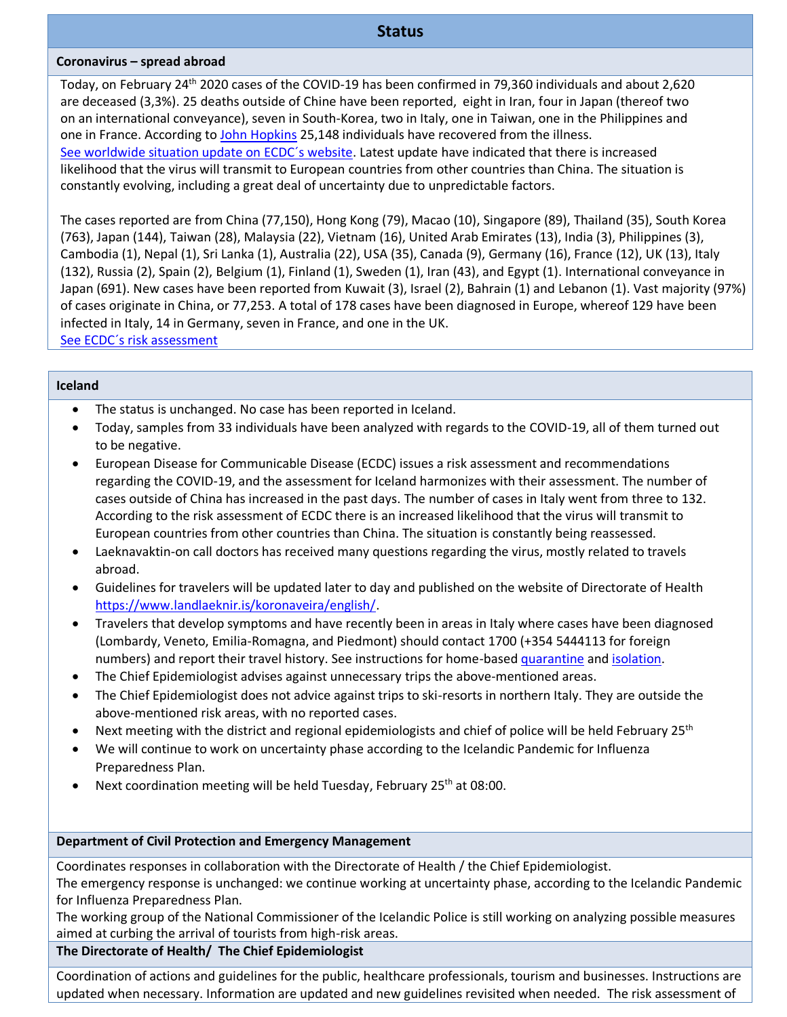# **Status**

#### **Coronavirus – spread abroad**

Today, on February 24th 2020 cases of the COVID-19 has been confirmed in 79,360 individuals and about 2,620 are deceased (3,3%). 25 deaths outside of Chine have been reported, eight in Iran, four in Japan (thereof two on an international conveyance), seven in South-Korea, two in Italy, one in Taiwan, one in the Philippines and one in France. According to [John Hopkins](https://gisanddata.maps.arcgis.com/apps/opsdashboard/index.html#/bda7594740fd40299423467b48e9ecf6) 25,148 individuals have recovered from the illness. [See worldwide situation update on ECDC´s website.](https://www.ecdc.europa.eu/en/geographical-distribution-2019-ncov-cases) Latest update have indicated that there is increased likelihood that the virus will transmit to European countries from other countries than China. The situation is constantly evolving, including a great deal of uncertainty due to unpredictable factors.

The cases reported are from China (77,150), Hong Kong (79), Macao (10), Singapore (89), Thailand (35), South Korea (763), Japan (144), Taiwan (28), Malaysia (22), Vietnam (16), United Arab Emirates (13), India (3), Philippines (3), Cambodia (1), Nepal (1), Sri Lanka (1), Australia (22), USA (35), Canada (9), Germany (16), France (12), UK (13), Italy (132), Russia (2), Spain (2), Belgium (1), Finland (1), Sweden (1), Iran (43), and Egypt (1). International conveyance in Japan (691). New cases have been reported from Kuwait (3), Israel (2), Bahrain (1) and Lebanon (1). Vast majority (97%) of cases originate in China, or 77,253. A total of 178 cases have been diagnosed in Europe, whereof 129 have been infected in Italy, 14 in Germany, seven in France, and one in the UK. [See ECDC´s risk assessment](https://www.ecdc.europa.eu/en/current-risk-assessment-novel-coronavirus-situation)

#### **Iceland**

- The status is unchanged. No case has been reported in Iceland.
- Today, samples from 33 individuals have been analyzed with regards to the COVID-19, all of them turned out to be negative.
- European Disease for Communicable Disease (ECDC) issues a risk assessment and recommendations regarding the COVID-19, and the assessment for Iceland harmonizes with their assessment. The number of cases outside of China has increased in the past days. The number of cases in Italy went from three to 132. According to the risk assessment of ECDC there is an increased likelihood that the virus will transmit to European countries from other countries than China. The situation is constantly being reassessed.
- Laeknavaktin-on call doctors has received many questions regarding the virus, mostly related to travels abroad.
- Guidelines for travelers will be updated later to day and published on the website of Directorate of Health [https://www.landlaeknir.is/koronaveira/english/.](https://www.landlaeknir.is/koronaveira/english/)
- Travelers that develop symptoms and have recently been in areas in Italy where cases have been diagnosed (Lombardy, Veneto, Emilia-Romagna, and Piedmont) should contact 1700 (+354 5444113 for foreign numbers) and report their travel history. See instructions for home-base[d quarantine](https://www.landlaeknir.is/servlet/file/store93/item39065/Instructions%20for%20the%20general%20public%20on%20home-based%20quarantine.pdf) and [isolation.](https://www.landlaeknir.is/servlet/file/store93/item39066/Instructions%20for%20the%20general%20public%20on%20home-based%20isolation.pdf)
- The Chief Epidemiologist advises against unnecessary trips the above-mentioned areas.
- The Chief Epidemiologist does not advice against trips to ski-resorts in northern Italy. They are outside the above-mentioned risk areas, with no reported cases.
- Next meeting with the district and regional epidemiologists and chief of police will be held February 25th
- We will continue to work on uncertainty phase according to the Icelandic Pandemic for Influenza Preparedness Plan.
- Next coordination meeting will be held Tuesday, February 25<sup>th</sup> at 08:00.

### **Department of Civil Protection and Emergency Management**

Coordinates responses in collaboration with the Directorate of Health / the Chief Epidemiologist.

The emergency response is unchanged: we continue working at uncertainty phase, according to the Icelandic Pandemic for Influenza Preparedness Plan.

The working group of the National Commissioner of the Icelandic Police is still working on analyzing possible measures aimed at curbing the arrival of tourists from high-risk areas.

### **The Directorate of Health/ The Chief Epidemiologist**

Coordination of actions and guidelines for the public, healthcare professionals, tourism and businesses. Instructions are updated when necessary. Information are updated and new guidelines revisited when needed. The risk assessment of